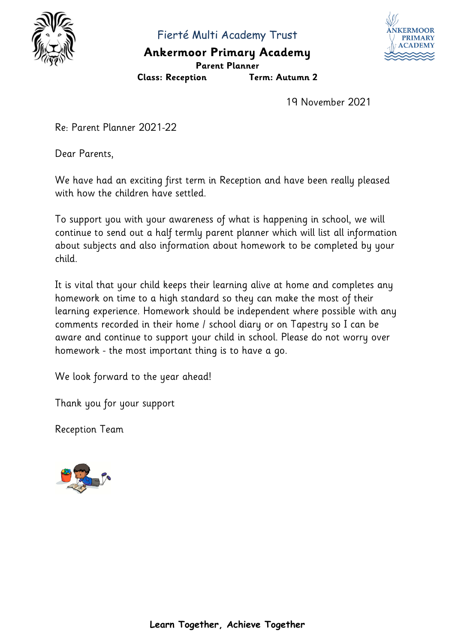

Fierté Multi Academy Trust

## **Ankermoor Primary Academy**



**Class: Reception Term: Autumn 2**



19 November 2021

Re: Parent Planner 2021-22

Dear Parents,

We have had an exciting first term in Reception and have been really pleased with how the children have settled.

To support you with your awareness of what is happening in school, we will continue to send out a half termly parent planner which will list all information about subjects and also information about homework to be completed by your child.

It is vital that your child keeps their learning alive at home and completes any homework on time to a high standard so they can make the most of their learning experience. Homework should be independent where possible with any comments recorded in their home / school diary or on Tapestry so I can be aware and continue to support your child in school. Please do not worry over homework - the most important thing is to have a go.

We look forward to the year ahead!

Thank you for your support

Reception Team

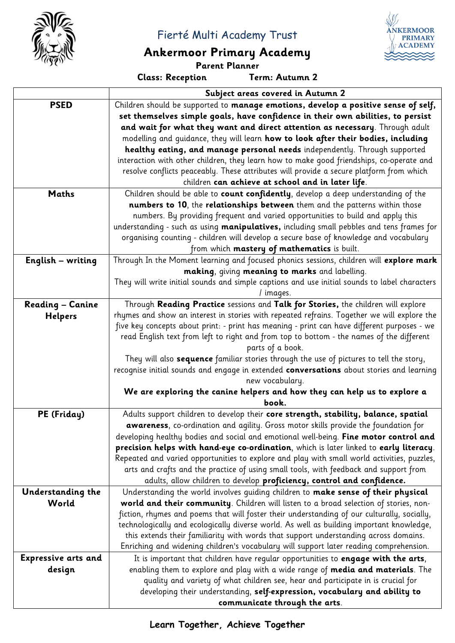

#### Fierté Multi Academy Trust

# **Ankermoor Primary Academy**

**Class: Reception** 

**Parent Planner**

**ANKERMOOR PRIMARY ACADEMY** 

|                            | Subject areas covered in Autumn 2                                                             |  |  |
|----------------------------|-----------------------------------------------------------------------------------------------|--|--|
| <b>PSED</b>                | Children should be supported to manage emotions, develop a positive sense of self,            |  |  |
|                            | set themselves simple goals, have confidence in their own abilities, to persist               |  |  |
|                            | and wait for what they want and direct attention as necessary. Through adult                  |  |  |
|                            | modelling and guidance, they will learn how to look after their bodies, including             |  |  |
|                            | healthy eating, and manage personal needs independently. Through supported                    |  |  |
|                            | interaction with other children, they learn how to make good friendships, co-operate and      |  |  |
|                            | resolve conflicts peaceably. These attributes will provide a secure platform from which       |  |  |
|                            | children can achieve at school and in later life.                                             |  |  |
| <b>Maths</b>               | Children should be able to count confidently, develop a deep understanding of the             |  |  |
|                            | numbers to 10, the relationships between them and the patterns within those                   |  |  |
|                            | numbers. By providing frequent and varied opportunities to build and apply this               |  |  |
|                            | understanding - such as using manipulatives, including small pebbles and tens frames for      |  |  |
|                            | organising counting - children will develop a secure base of knowledge and vocabulary         |  |  |
|                            | from which mastery of mathematics is built.                                                   |  |  |
| <b>English - writing</b>   | Through In the Moment learning and focused phonics sessions, children will explore mark       |  |  |
|                            | making, giving meaning to marks and labelling.                                                |  |  |
|                            | They will write initial sounds and simple captions and use initial sounds to label characters |  |  |
|                            | / images.                                                                                     |  |  |
| <b>Reading - Canine</b>    | Through Reading Practice sessions and Talk for Stories, the children will explore             |  |  |
| <b>Helpers</b>             | rhymes and show an interest in stories with repeated refrains. Together we will explore the   |  |  |
|                            | five key concepts about print: - print has meaning - print can have different purposes - we   |  |  |
|                            | read English text from left to right and from top to bottom - the names of the different      |  |  |
|                            | parts of a book.                                                                              |  |  |
|                            | They will also sequence familiar stories through the use of pictures to tell the story,       |  |  |
|                            | recognise initial sounds and engage in extended conversations about stories and learning      |  |  |
|                            | new vocabulary.                                                                               |  |  |
|                            | We are exploring the canine helpers and how they can help us to explore a                     |  |  |
|                            | book.                                                                                         |  |  |
| PE (Friday)                | Adults support children to develop their core strength, stability, balance, spatial           |  |  |
|                            | awareness, co-ordination and agility. Gross motor skills provide the foundation for           |  |  |
|                            | developing healthy bodies and social and emotional well-being. Fine motor control and         |  |  |
|                            | precision helps with hand-eye co-ordination, which is later linked to early literacy.         |  |  |
|                            | Repeated and varied opportunities to explore and play with small world activities, puzzles,   |  |  |
|                            | arts and crafts and the practice of using small tools, with feedback and support from         |  |  |
|                            | adults, allow children to develop proficiency, control and confidence.                        |  |  |
| Understanding the          | Understanding the world involves guiding children to make sense of their physical             |  |  |
| World                      | world and their community. Children will listen to a broad selection of stories, non-         |  |  |
|                            | fiction, rhymes and poems that will foster their understanding of our culturally, socially,   |  |  |
|                            | technologically and ecologically diverse world. As well as building important knowledge,      |  |  |
|                            | this extends their familiarity with words that support understanding across domains.          |  |  |
|                            | Enriching and widening children's vocabulary will support later reading comprehension.        |  |  |
| <b>Expressive arts and</b> | It is important that children have regular opportunities to engage with the arts,             |  |  |
| design                     | enabling them to explore and play with a wide range of media and materials. The               |  |  |
|                            | quality and variety of what children see, hear and participate in is crucial for              |  |  |
|                            | developing their understanding, self-expression, vocabulary and ability to                    |  |  |
|                            | communicate through the arts.                                                                 |  |  |